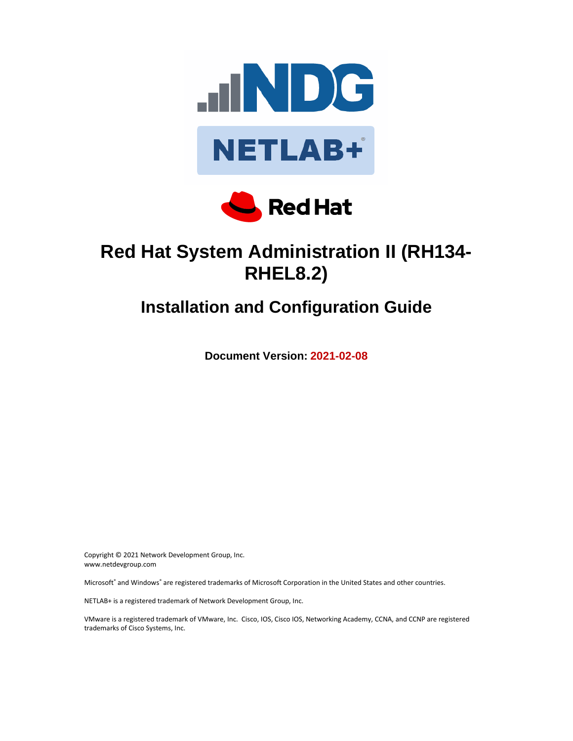



# **Red Hat System Administration II (RH134- RHEL8.2)**

# **Installation and Configuration Guide**

**Document Version: 2021-02-08**

Copyright © 2021 Network Development Group, Inc. www.netdevgroup.com

Microsoft® and Windows® are registered trademarks of Microsoft Corporation in the United States and other countries.

NETLAB+ is a registered trademark of Network Development Group, Inc.

VMware is a registered trademark of VMware, Inc. Cisco, IOS, Cisco IOS, Networking Academy, CCNA, and CCNP are registered trademarks of Cisco Systems, Inc.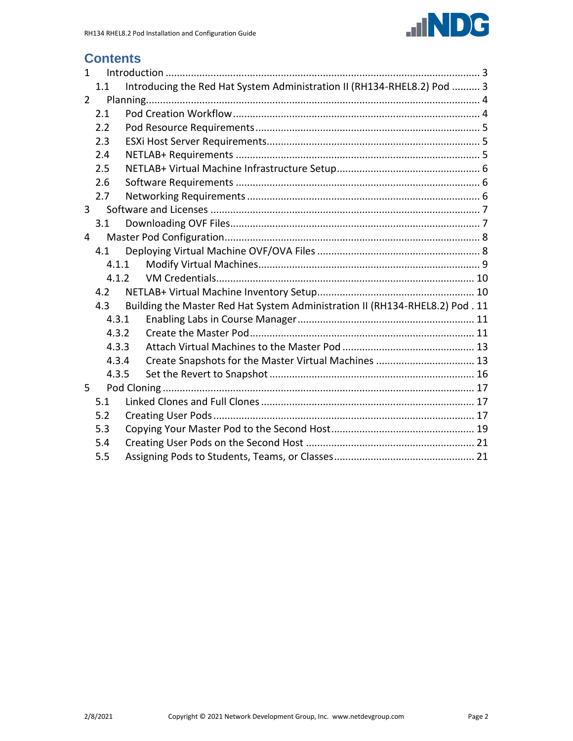

# **Contents**

| $\mathbf{1}$   |       |       |                                                                              |  |
|----------------|-------|-------|------------------------------------------------------------------------------|--|
|                | 1.1   |       | Introducing the Red Hat System Administration II (RH134-RHEL8.2) Pod  3      |  |
| $\overline{2}$ |       |       |                                                                              |  |
|                | 2.1   |       |                                                                              |  |
|                | 2.2   |       |                                                                              |  |
|                | 2.3   |       |                                                                              |  |
|                | 2.4   |       |                                                                              |  |
|                | 2.5   |       |                                                                              |  |
|                | 2.6   |       |                                                                              |  |
|                | 2.7   |       |                                                                              |  |
| 3              |       |       |                                                                              |  |
|                | 3.1   |       |                                                                              |  |
| 4              |       |       |                                                                              |  |
|                | 4.1   |       |                                                                              |  |
|                | 4.1.1 |       |                                                                              |  |
|                |       | 4.1.2 |                                                                              |  |
|                | 4.2   |       |                                                                              |  |
|                | 4.3   |       | Building the Master Red Hat System Administration II (RH134-RHEL8.2) Pod. 11 |  |
|                | 4.3.1 |       |                                                                              |  |
|                | 4.3.2 |       |                                                                              |  |
|                | 4.3.3 |       |                                                                              |  |
|                | 4.3.4 |       | Create Snapshots for the Master Virtual Machines  13                         |  |
|                | 4.3.5 |       |                                                                              |  |
| 5              |       |       |                                                                              |  |
|                | 5.1   |       |                                                                              |  |
|                | 5.2   |       |                                                                              |  |
|                | 5.3   |       |                                                                              |  |
|                | 5.4   |       |                                                                              |  |
|                | 5.5   |       |                                                                              |  |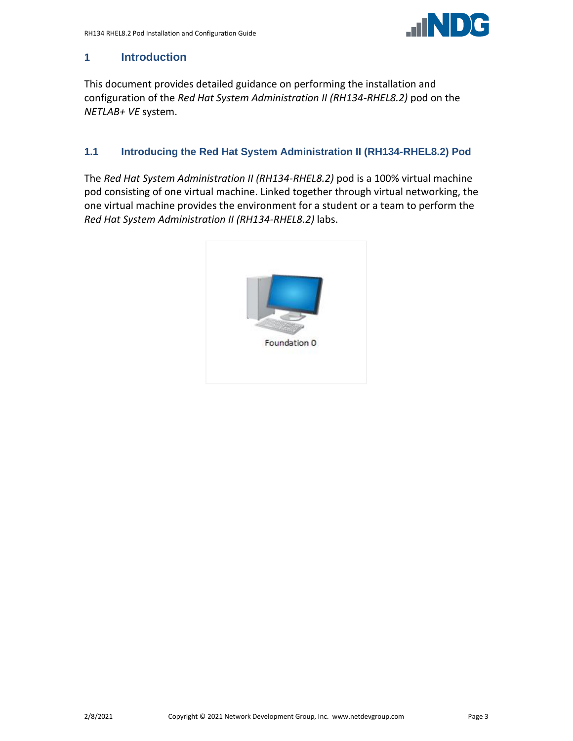

## <span id="page-2-0"></span>**1 Introduction**

This document provides detailed guidance on performing the installation and configuration of the *Red Hat System Administration II (RH134-RHEL8.2)* pod on the *NETLAB+ VE* system.

# <span id="page-2-1"></span>**1.1 Introducing the Red Hat System Administration II (RH134-RHEL8.2) Pod**

The *Red Hat System Administration II (RH134-RHEL8.2)* pod is a 100% virtual machine pod consisting of one virtual machine. Linked together through virtual networking, the one virtual machine provides the environment for a student or a team to perform the *Red Hat System Administration II (RH134-RHEL8.2)* labs.

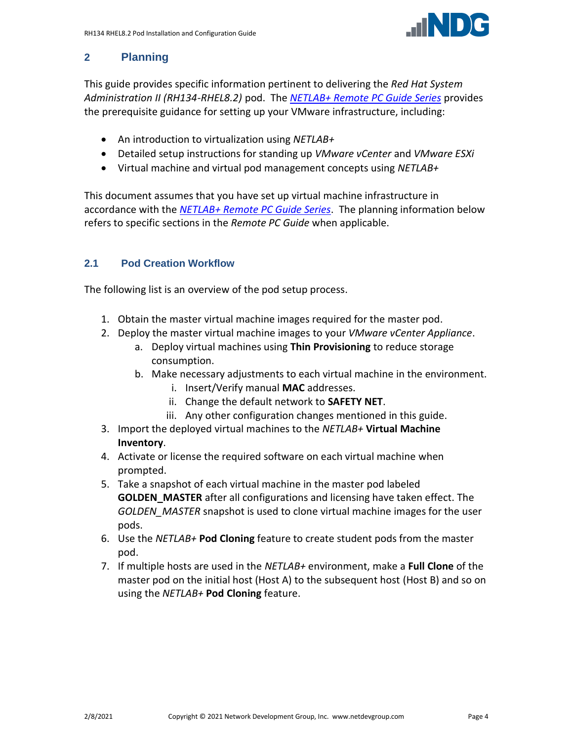

# <span id="page-3-0"></span>**2 Planning**

This guide provides specific information pertinent to delivering the *Red Hat System Administration II (RH134-RHEL8.2)* pod. The *[NETLAB+ Remote PC Guide Series](http://www.netdevgroup.com/support/documentation/netlabve/)* provides the prerequisite guidance for setting up your VMware infrastructure, including:

- An introduction to virtualization using *NETLAB+*
- Detailed setup instructions for standing up *VMware vCenter* and *VMware ESXi*
- Virtual machine and virtual pod management concepts using *NETLAB+*

This document assumes that you have set up virtual machine infrastructure in accordance with the *[NETLAB+ Remote PC Guide Series](http://www.netdevgroup.com/support/documentation/netlabve/)*. The planning information below refers to specific sections in the *Remote PC Guide* when applicable.

# <span id="page-3-1"></span>**2.1 Pod Creation Workflow**

The following list is an overview of the pod setup process.

- 1. Obtain the master virtual machine images required for the master pod.
- 2. Deploy the master virtual machine images to your *VMware vCenter Appliance*.
	- a. Deploy virtual machines using **Thin Provisioning** to reduce storage consumption.
	- b. Make necessary adjustments to each virtual machine in the environment.
		- i. Insert/Verify manual **MAC** addresses.
		- ii. Change the default network to **SAFETY NET**.
		- iii. Any other configuration changes mentioned in this guide.
- 3. Import the deployed virtual machines to the *NETLAB+* **Virtual Machine Inventory**.
- 4. Activate or license the required software on each virtual machine when prompted.
- 5. Take a snapshot of each virtual machine in the master pod labeled **GOLDEN\_MASTER** after all configurations and licensing have taken effect. The *GOLDEN\_MASTER* snapshot is used to clone virtual machine images for the user pods.
- 6. Use the *NETLAB+* **Pod Cloning** feature to create student pods from the master pod.
- 7. If multiple hosts are used in the *NETLAB+* environment, make a **Full Clone** of the master pod on the initial host (Host A) to the subsequent host (Host B) and so on using the *NETLAB+* **Pod Cloning** feature.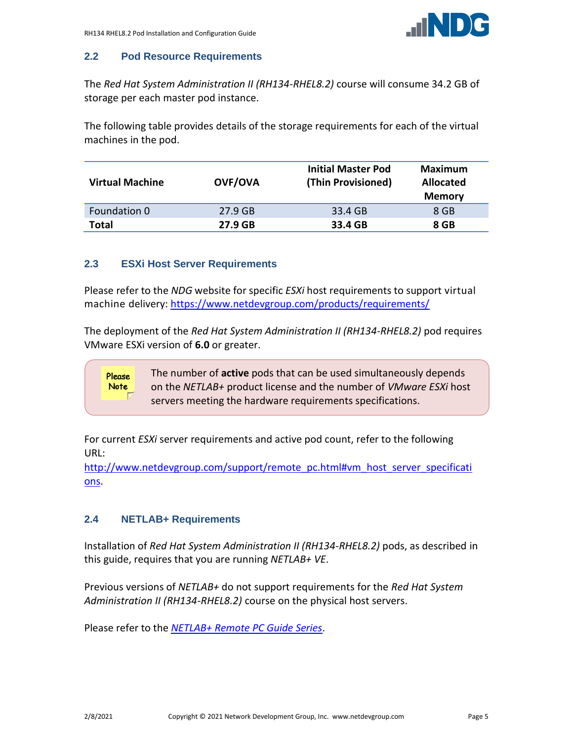

### <span id="page-4-0"></span>**2.2 Pod Resource Requirements**

The *Red Hat System Administration II (RH134-RHEL8.2)* course will consume 34.2 GB of storage per each master pod instance.

The following table provides details of the storage requirements for each of the virtual machines in the pod.

| <b>Virtual Machine</b> | <b>OVF/OVA</b> | <b>Initial Master Pod</b><br>(Thin Provisioned) | <b>Maximum</b><br><b>Allocated</b><br><b>Memory</b> |
|------------------------|----------------|-------------------------------------------------|-----------------------------------------------------|
| Foundation 0           | 27.9 GB        | 33.4 GB                                         | 8 GB                                                |
| Total                  | 27.9 GB        | 33.4 GB                                         | 8 GB                                                |

#### <span id="page-4-1"></span>**2.3 ESXi Host Server Requirements**

Please refer to the *NDG* website for specific *ESXi* host requirements to support virtual machine delivery: <https://www.netdevgroup.com/products/requirements/>

The deployment of the *Red Hat System Administration II (RH134-RHEL8.2)* pod requires VMware ESXi version of **6.0** or greater.

> The number of **active** pods that can be used simultaneously depends on the *NETLAB+* product license and the number of *VMware ESXi* host servers meeting the hardware requirements specifications.

For current *ESXi* server requirements and active pod count, refer to the following URL:

[http://www.netdevgroup.com/support/remote\\_pc.html#vm\\_host\\_server\\_specificati](http://www.netdevgroup.com/support/remote_pc.html#vm_host_server_specifications) [ons.](http://www.netdevgroup.com/support/remote_pc.html#vm_host_server_specifications)

#### <span id="page-4-2"></span>**2.4 NETLAB+ Requirements**

Please **Note** 

Installation of *Red Hat System Administration II (RH134-RHEL8.2)* pods, as described in this guide, requires that you are running *NETLAB+ VE*.

Previous versions of *NETLAB+* do not support requirements for the *Red Hat System Administration II (RH134-RHEL8.2)* course on the physical host servers.

Please refer to the *[NETLAB+ Remote PC Guide Series](https://www.netdevgroup.com/support/documentation/netlabve/)*.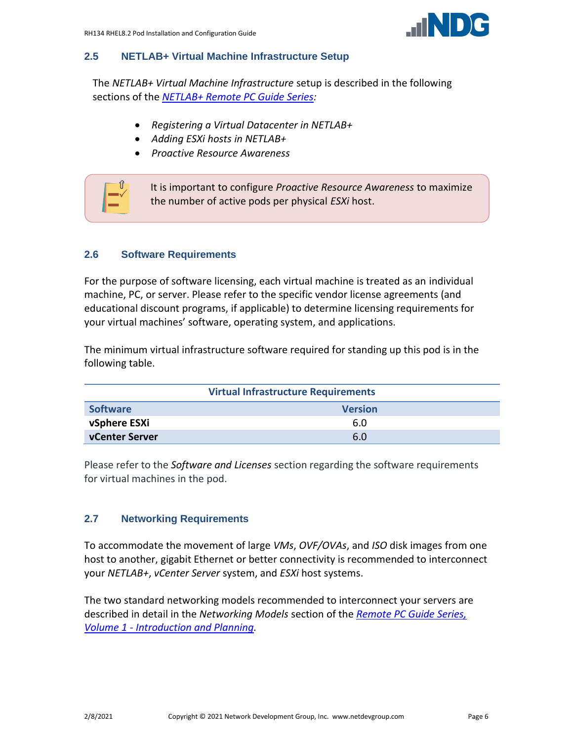

#### <span id="page-5-0"></span>**2.5 NETLAB+ Virtual Machine Infrastructure Setup**

The *NETLAB+ Virtual Machine Infrastructure* setup is described in the following sections of the *[NETLAB+ Remote PC Guide Series:](http://www.netdevgroup.com/support/documentation/netlabve/)*

- *Registering a Virtual Datacenter in NETLAB+*
- *Adding ESXi hosts in NETLAB+*
- *Proactive Resource Awareness*



#### <span id="page-5-1"></span>**2.6 Software Requirements**

For the purpose of software licensing, each virtual machine is treated as an individual machine, PC, or server. Please refer to the specific vendor license agreements (and educational discount programs, if applicable) to determine licensing requirements for your virtual machines' software, operating system, and applications.

The minimum virtual infrastructure software required for standing up this pod is in the following table.

| <b>Virtual Infrastructure Requirements</b> |     |  |  |  |
|--------------------------------------------|-----|--|--|--|
| <b>Software</b><br><b>Version</b>          |     |  |  |  |
| vSphere ESXi                               | 6.0 |  |  |  |
| <b>vCenter Server</b>                      | 6.0 |  |  |  |

Please refer to the *Software and Licenses* section regarding the software requirements for virtual machines in the pod.

#### <span id="page-5-2"></span>**2.7 Networking Requirements**

To accommodate the movement of large *VMs*, *OVF/OVAs*, and *ISO* disk images from one host to another, gigabit Ethernet or better connectivity is recommended to interconnect your *NETLAB+*, *vCenter Server* system, and *ESXi* host systems.

The two standard networking models recommended to interconnect your servers are described in detail in the *Networking Models* section of the *[Remote PC Guide Series,](http://www.netdevgroup.com/support/documentation/NETLAB_Remote_PC_Guide_Vol_1_Introduction.pdf)  Volume 1 - [Introduction and Planning.](http://www.netdevgroup.com/support/documentation/NETLAB_Remote_PC_Guide_Vol_1_Introduction.pdf)*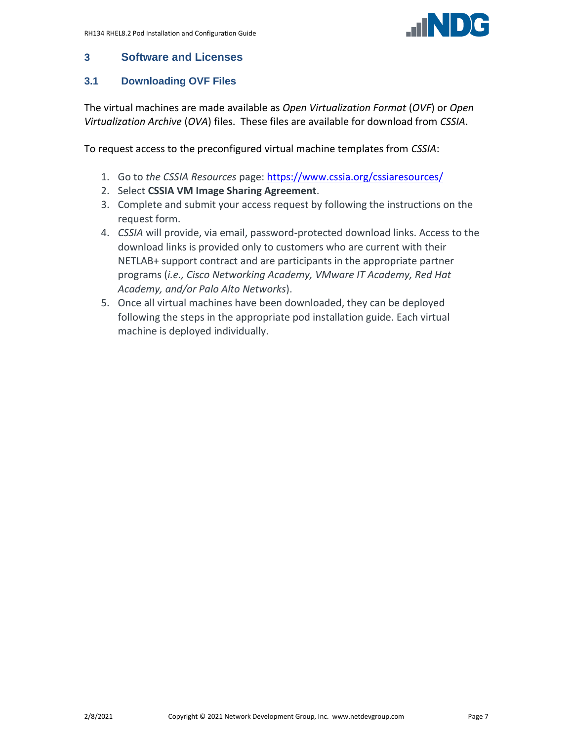

### <span id="page-6-0"></span>**3 Software and Licenses**

# <span id="page-6-1"></span>**3.1 Downloading OVF Files**

The virtual machines are made available as *Open Virtualization Format* (*OVF*) or *Open Virtualization Archive* (*OVA*) files. These files are available for download from *CSSIA*.

To request access to the preconfigured virtual machine templates from *CSSIA*:

- 1. Go to *the CSSIA Resources* page: <https://www.cssia.org/cssiaresources/>
- 2. Select **CSSIA VM Image Sharing Agreement**.
- 3. Complete and submit your access request by following the instructions on the request form.
- 4. *CSSIA* will provide, via email, password-protected download links. Access to the download links is provided only to customers who are current with their NETLAB+ support contract and are participants in the appropriate partner programs (*i.e., Cisco Networking Academy, VMware IT Academy, Red Hat Academy, and/or Palo Alto Networks*).
- 5. Once all virtual machines have been downloaded, they can be deployed following the steps in the appropriate pod installation guide. Each virtual machine is deployed individually.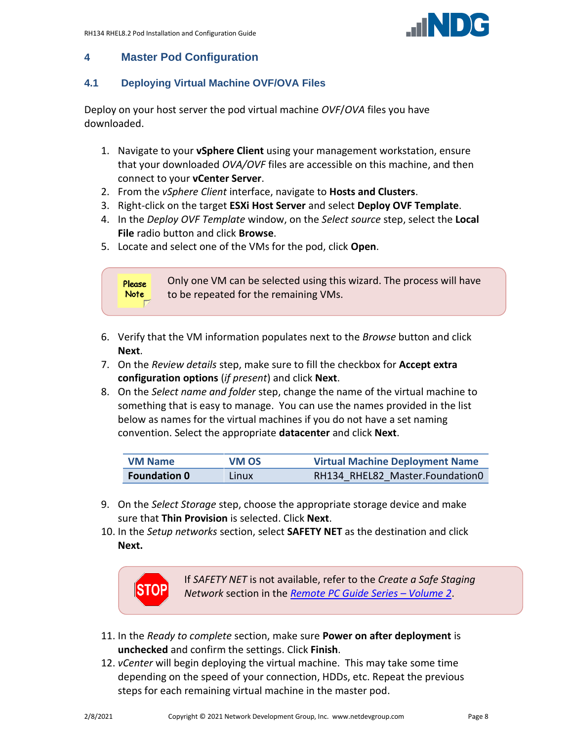

# <span id="page-7-0"></span>**4 Master Pod Configuration**

# <span id="page-7-1"></span>**4.1 Deploying Virtual Machine OVF/OVA Files**

Deploy on your host server the pod virtual machine *OVF*/*OVA* files you have downloaded.

- 1. Navigate to your **vSphere Client** using your management workstation, ensure that your downloaded *OVA/OVF* files are accessible on this machine, and then connect to your **vCenter Server**.
- 2. From the *vSphere Client* interface, navigate to **Hosts and Clusters**.
- 3. Right-click on the target **ESXi Host Server** and select **Deploy OVF Template**.
- 4. In the *Deploy OVF Template* window, on the *Select source* step, select the **Local File** radio button and click **Browse**.
- 5. Locate and select one of the VMs for the pod, click **Open**.



- 6. Verify that the VM information populates next to the *Browse* button and click **Next**.
- 7. On the *Review details* step, make sure to fill the checkbox for **Accept extra configuration options** (*if present*) and click **Next**.
- 8. On the *Select name and folder* step, change the name of the virtual machine to something that is easy to manage. You can use the names provided in the list below as names for the virtual machines if you do not have a set naming convention. Select the appropriate **datacenter** and click **Next**.

| <b>VM Name</b>      | VM OS | <b>Virtual Machine Deployment Name</b> |  |
|---------------------|-------|----------------------------------------|--|
| <b>Foundation 0</b> | Linux | RH134 RHEL82 Master.Foundation0        |  |

- 9. On the *Select Storage* step, choose the appropriate storage device and make sure that **Thin Provision** is selected. Click **Next**.
- 10. In the *Setup networks* section, select **SAFETY NET** as the destination and click **Next.**



If *SAFETY NET* is not available, refer to the *Create a Safe Staging Network* section in the *[Remote PC Guide Series](http://www.netdevgroup.com/support/documentation/NETLAB_Remote_PC_Guide_Vol_2_Installation.pdf) – Volume 2*.

- 11. In the *Ready to complete* section, make sure **Power on after deployment** is **unchecked** and confirm the settings. Click **Finish**.
- 12. *vCenter* will begin deploying the virtual machine. This may take some time depending on the speed of your connection, HDDs, etc. Repeat the previous steps for each remaining virtual machine in the master pod.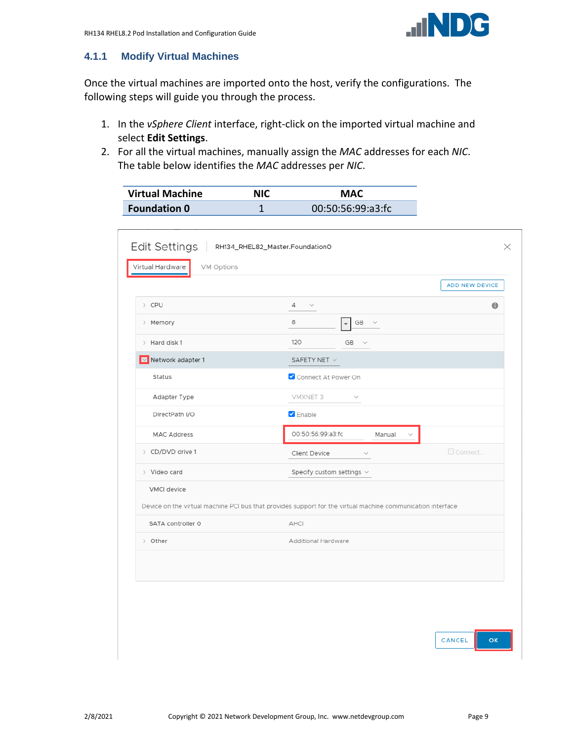

### <span id="page-8-0"></span>**4.1.1 Modify Virtual Machines**

Once the virtual machines are imported onto the host, verify the configurations. The following steps will guide you through the process.

- 1. In the *vSphere Client* interface, right-click on the imported virtual machine and select **Edit Settings**.
- 2. For all the virtual machines, manually assign the *MAC* addresses for each *NIC*. The table below identifies the *MAC* addresses per *NIC*.

| <b>Virtual Machine</b> | NIC | <b>MAC</b>        |
|------------------------|-----|-------------------|
| <b>Foundation 0</b>    |     | 00:50:56:99:a3:fc |

|                                    |                                                                                                             | <b>ADD NEW DEVICE</b> |
|------------------------------------|-------------------------------------------------------------------------------------------------------------|-----------------------|
| > CPU                              | 4<br>$\checkmark$                                                                                           | $\bullet$             |
| > Memory                           | 8<br>GB $\sim$                                                                                              |                       |
| > Hard disk 1                      | 120<br>GB<br>$\checkmark$                                                                                   |                       |
| $\boxed{\smile}$ Network adapter 1 | SAFETY NET $\vee$                                                                                           |                       |
| Status                             | Connect At Power On                                                                                         |                       |
| Adapter Type                       | VMXNET 3<br>$\checkmark$                                                                                    |                       |
| DirectPath I/O                     | $\triangledown$ Enable                                                                                      |                       |
| <b>MAC Address</b>                 | 00:50:56:99:a3:fc<br>Manual                                                                                 |                       |
| > CD/DVD drive 1                   | Client Device<br>$\checkmark$                                                                               | Connect               |
| > Video card                       | Specify custom settings $\vee$                                                                              |                       |
| VMCI device                        |                                                                                                             |                       |
|                                    | Device on the virtual machine PCI bus that provides support for the virtual machine communication interface |                       |
| SATA controller 0                  | AHCI                                                                                                        |                       |
| > Other                            | Additional Hardware                                                                                         |                       |
|                                    |                                                                                                             |                       |
|                                    |                                                                                                             |                       |
|                                    |                                                                                                             |                       |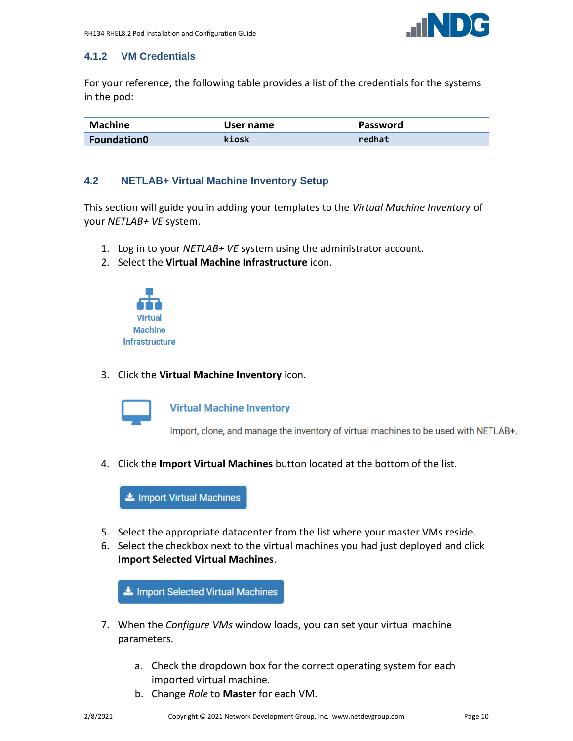

#### <span id="page-9-0"></span>**4.1.2 VM Credentials**

For your reference, the following table provides a list of the credentials for the systems in the pod:

| <b>Machine</b>     | User name | <b>Password</b> |  |
|--------------------|-----------|-----------------|--|
| <b>Foundation0</b> | kiosk     | redhat          |  |

#### <span id="page-9-1"></span>**4.2 NETLAB+ Virtual Machine Inventory Setup**

This section will guide you in adding your templates to the *Virtual Machine Inventory* of your *NETLAB+ VE* system.

- 1. Log in to your *NETLAB+ VE* system using the administrator account.
- 2. Select the **Virtual Machine Infrastructure** icon.



3. Click the **Virtual Machine Inventory** icon.



**Virtual Machine Inventory** 

Import, clone, and manage the inventory of virtual machines to be used with NETLAB+.

4. Click the **Import Virtual Machines** button located at the bottom of the list.



- 5. Select the appropriate datacenter from the list where your master VMs reside.
- 6. Select the checkbox next to the virtual machines you had just deployed and click **Import Selected Virtual Machines**.

Import Selected Virtual Machines

- 7. When the *Configure VMs* window loads, you can set your virtual machine parameters.
	- a. Check the dropdown box for the correct operating system for each imported virtual machine.
	- b. Change *Role* to **Master** for each VM.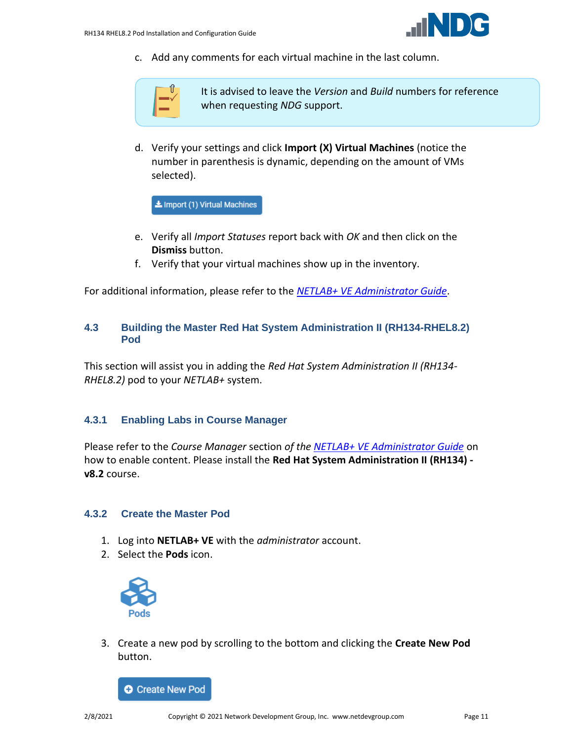

c. Add any comments for each virtual machine in the last column.



It is advised to leave the *Version* and *Build* numbers for reference when requesting *NDG* support.

d. Verify your settings and click **Import (X) Virtual Machines** (notice the number in parenthesis is dynamic, depending on the amount of VMs selected).

L Import (1) Virtual Machines

- e. Verify all *Import Statuses* report back with *OK* and then click on the **Dismiss** button.
- f. Verify that your virtual machines show up in the inventory.

For additional information, please refer to the *[NETLAB+ VE Administrator Guide](http://www.netdevgroup.com/support/documentation/netlabve/netlabve_administrator_guide.pdf#nameddest=virtual_machine_infrastructure)*.

#### <span id="page-10-0"></span>**4.3 Building the Master Red Hat System Administration II (RH134-RHEL8.2) Pod**

This section will assist you in adding the *Red Hat System Administration II (RH134- RHEL8.2)* pod to your *NETLAB+* system.

#### <span id="page-10-1"></span>**4.3.1 Enabling Labs in Course Manager**

Please refer to the *Course Manager* section *of the [NETLAB+ VE Administrator Guide](https://www.netdevgroup.com/support/documentation/netlabve/netlabve_administrator_guide.pdf#nameddest=course_manager)* on how to enable content. Please install the **Red Hat System Administration II (RH134) v8.2** course.

#### <span id="page-10-2"></span>**4.3.2 Create the Master Pod**

- 1. Log into **NETLAB+ VE** with the *administrator* account.
- 2. Select the **Pods** icon.



3. Create a new pod by scrolling to the bottom and clicking the **Create New Pod** button.

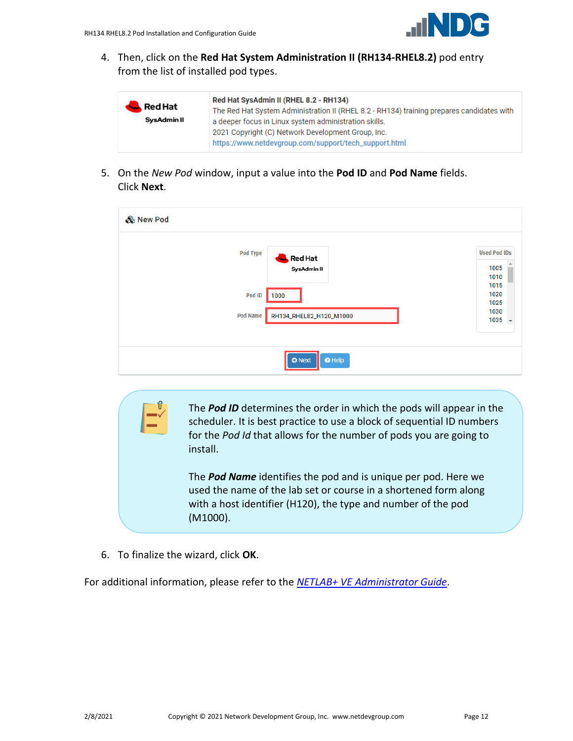

4. Then, click on the **Red Hat System Administration II (RH134-RHEL8.2)** pod entry from the list of installed pod types.

| Red Hat SysAdmin II (RHEL 8.2 - RH134)<br>Red Hat<br>The Red Hat System Administration II (RHEL 8.2 - RH134) training prepares candidates with<br>SysAdmin II<br>a deeper focus in Linux system administration skills.<br>2021 Copyright (C) Network Development Group, Inc.<br>https://www.netdevgroup.com/support/tech_support.html |  |
|---------------------------------------------------------------------------------------------------------------------------------------------------------------------------------------------------------------------------------------------------------------------------------------------------------------------------------------|--|
|---------------------------------------------------------------------------------------------------------------------------------------------------------------------------------------------------------------------------------------------------------------------------------------------------------------------------------------|--|

5. On the *New Pod* window, input a value into the **Pod ID** and **Pod Name** fields. Click **Next**.

| & New Pod       |                                 |                                     |
|-----------------|---------------------------------|-------------------------------------|
| Pod Type        | <b>Red Hat</b><br>SysAdmin II   | <b>Used Pod IDs</b><br>1005<br>1010 |
| Pod ID          | 1000                            | 1015<br>1020<br>1025                |
| <b>Pod Name</b> | RH134_RHEL82_H120_M1000         | 1030<br>$1035 -$                    |
|                 | <b>O</b> Next<br>$\bullet$ Help |                                     |

The *Pod ID* determines the order in which the pods will appear in the scheduler. It is best practice to use a block of sequential ID numbers for the *Pod Id* that allows for the number of pods you are going to install.

The *Pod Name* identifies the pod and is unique per pod. Here we used the name of the lab set or course in a shortened form along with a host identifier (H120), the type and number of the pod (M1000).

6. To finalize the wizard, click **OK**.

For additional information, please refer to the *NETLAB+ VE [Administrator Guide](http://www.netdevgroup.com/support/documentation/netlabve/netlabve_administrator_guide.pdf)*.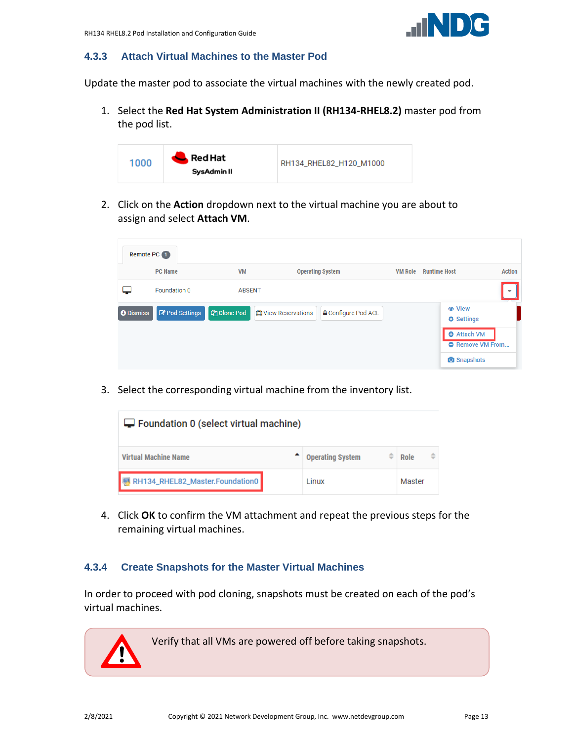#### <span id="page-12-0"></span>**4.3.3 Attach Virtual Machines to the Master Pod**

Update the master pod to associate the virtual machines with the newly created pod.

1. Select the **Red Hat System Administration II (RH134-RHEL8.2)** master pod from the pod list.



2. Click on the **Action** dropdown next to the virtual machine you are about to assign and select **Attach VM**.

| Remote PC 1      |                       |                           |                                                     |                                                                                                           |                          |
|------------------|-----------------------|---------------------------|-----------------------------------------------------|-----------------------------------------------------------------------------------------------------------|--------------------------|
|                  | <b>PC Name</b>        | <b>VM</b>                 | <b>Operating System</b>                             | <b>Runtime Host</b><br><b>VM Role</b>                                                                     | <b>Action</b>            |
|                  | Foundation 0          | <b>ABSENT</b>             |                                                     |                                                                                                           | $\overline{\phantom{a}}$ |
| <b>O</b> Dismiss | <b>Z</b> Pod Settings | <b><i>C</i></b> Clone Pod | til View Reservations<br><b>≙</b> Configure Pod ACL | <b>●</b> View<br><b>♦ Settings</b><br><b>O</b> Attach VM<br><b>O</b> Remove VM From<br><b>O</b> Snapshots |                          |

3. Select the corresponding virtual machine from the inventory list.

| $\Box$ Foundation 0 (select virtual machine) |                              |        |  |  |  |
|----------------------------------------------|------------------------------|--------|--|--|--|
| <b>Virtual Machine Name</b>                  | ÷<br><b>Operating System</b> | Role   |  |  |  |
| RH134_RHEL82_Master.Foundation0              | Linux                        | Master |  |  |  |

4. Click **OK** to confirm the VM attachment and repeat the previous steps for the remaining virtual machines.

#### <span id="page-12-1"></span>**4.3.4 Create Snapshots for the Master Virtual Machines**

In order to proceed with pod cloning, snapshots must be created on each of the pod's virtual machines.

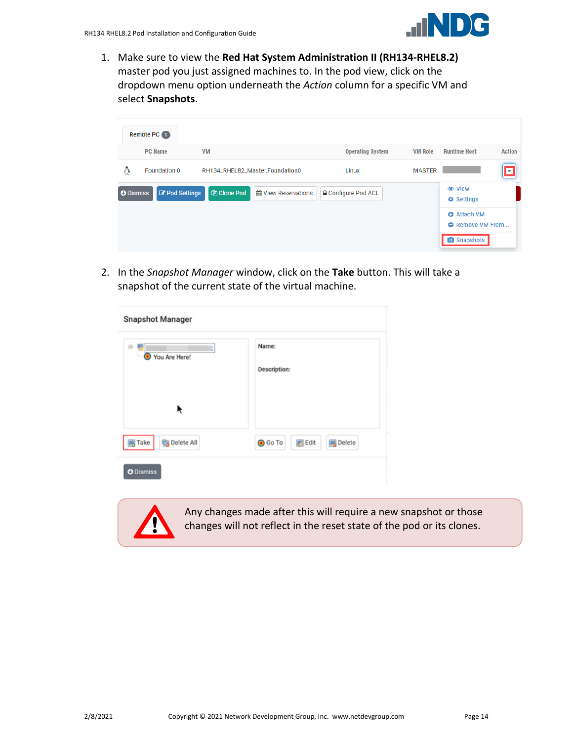

1. Make sure to view the **Red Hat System Administration II (RH134-RHEL8.2)** master pod you just assigned machines to. In the pod view, click on the dropdown menu option underneath the *Action* column for a specific VM and select **Snapshots**.

| Remote PC 1                               |                                                         |                            |                |                                                                                                                           |
|-------------------------------------------|---------------------------------------------------------|----------------------------|----------------|---------------------------------------------------------------------------------------------------------------------------|
| <b>PC Name</b>                            | <b>VM</b>                                               | <b>Operating System</b>    | <b>VM Role</b> | <b>Runtime Host</b><br><b>Action</b>                                                                                      |
| Δ<br>Foundation 0                         | RH134_RHEL82_Master.Foundation0                         | Linux                      | <b>MASTER</b>  | E                                                                                                                         |
| <b>Z</b> Pod Settings<br><b>O</b> Dismiss | <b><i>C</i></b> Clone Pod<br><b>M</b> View Reservations | <b>△</b> Configure Pod ACL |                | <b>● View</b><br><b><math>\Phi</math></b> Settings<br><b>O</b> Attach VM<br><b>O</b> Remove VM From<br><b>O</b> Snapshots |

2. In the *Snapshot Manager* window, click on the **Take** button. This will take a snapshot of the current state of the virtual machine.

| <b>Snapshot Manager</b>                    |                                                    |
|--------------------------------------------|----------------------------------------------------|
| 白 - 厚<br>You Are Here!<br>o                | Name:<br><b>Description:</b>                       |
| ĸ                                          |                                                    |
| $\overline{B}$ Take<br><b>B</b> Delete All | <b>O</b> Go To<br><b>B</b> Delete<br><b>B</b> Edit |
| <b>O</b> Dismiss                           |                                                    |



Any changes made after this will require a new snapshot or those changes will not reflect in the reset state of the pod or its clones.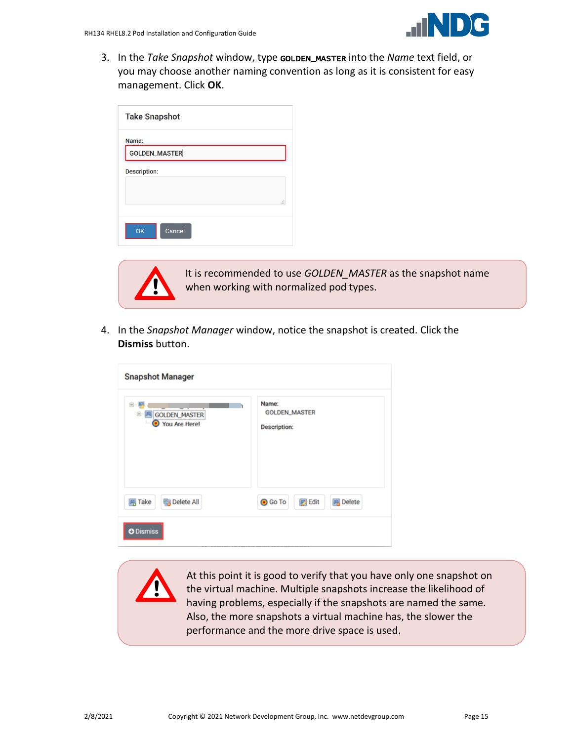3. In the *Take Snapshot* window, type GOLDEN\_MASTER into the *Name* text field, or you may choose another naming convention as long as it is consistent for easy management. Click **OK**.

| <b>Take Snapshot</b> |
|----------------------|
| Name:                |
| <b>GOLDEN_MASTER</b> |
| <b>Description:</b>  |
|                      |
| i                    |
|                      |
| OK<br>Cancel         |



It is recommended to use *GOLDEN\_MASTER* as the snapshot name when working with normalized pod types.

4. In the *Snapshot Manager* window, notice the snapshot is created. Click the **Dismiss** button.

| <b>Snapshot Manager</b>                   |                                                      |  |  |  |  |  |
|-------------------------------------------|------------------------------------------------------|--|--|--|--|--|
| G)<br>GOLDEN_MASTER<br>Θ<br>You Are Here! | Name:<br><b>GOLDEN_MASTER</b><br><b>Description:</b> |  |  |  |  |  |
| <b>取</b> Delete All<br><b>马 Take</b>      | <b>風</b> Delete<br><b>O</b> Go To<br><b>B</b> Edit   |  |  |  |  |  |
| <b>O</b> Dismiss                          |                                                      |  |  |  |  |  |

At this point it is good to verify that you have only one snapshot on the virtual machine. Multiple snapshots increase the likelihood of having problems, especially if the snapshots are named the same. Also, the more snapshots a virtual machine has, the slower the performance and the more drive space is used.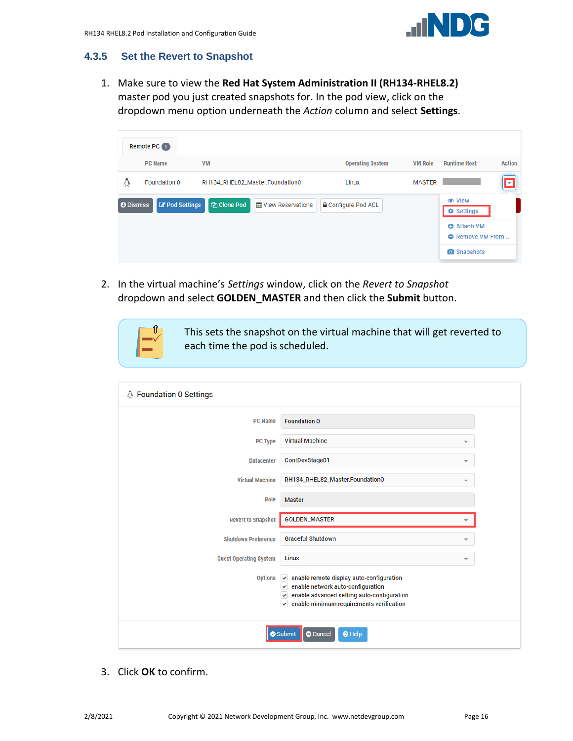

#### <span id="page-15-0"></span>**4.3.5 Set the Revert to Snapshot**

1. Make sure to view the **Red Hat System Administration II (RH134-RHEL8.2)** master pod you just created snapshots for. In the pod view, click on the dropdown menu option underneath the *Action* column and select **Settings**.

|                  | Remote PC 1               |                                                         |                            |                |                                               |               |
|------------------|---------------------------|---------------------------------------------------------|----------------------------|----------------|-----------------------------------------------|---------------|
|                  | <b>PC Name</b>            | <b>VM</b>                                               | <b>Operating System</b>    | <b>VM Role</b> | <b>Runtime Host</b>                           | <b>Action</b> |
| Δ                | Foundation 0              | RH134_RHEL82_Master.Foundation0                         | Linux                      | <b>MASTER</b>  | ←                                             |               |
| <b>O</b> Dismiss | <b>&amp;</b> Pod Settings | <b><i>C</i></b> Clone Pod<br><b>M</b> View Reservations | <b>△</b> Configure Pod ACL |                | <b> ⊙</b> View<br><b>♦ Settings</b>           |               |
|                  |                           |                                                         |                            |                | <b>O</b> Attach VM<br><b>O</b> Remove VM From |               |
|                  |                           |                                                         |                            |                | <b>O</b> Snapshots                            |               |

2. In the virtual machine's *Settings* window, click on the *Revert to Snapshot* dropdown and select **GOLDEN\_MASTER** and then click the **Submit** button.

This sets the snapshot on the virtual machine that will get reverted to each time the pod is scheduled.

| △ Foundation 0 Settings       |                                                                                                                                                                                                                                                                          |
|-------------------------------|--------------------------------------------------------------------------------------------------------------------------------------------------------------------------------------------------------------------------------------------------------------------------|
| <b>PC Name</b>                | <b>Foundation 0</b>                                                                                                                                                                                                                                                      |
| <b>PC Type</b>                | <b>Virtual Machine</b><br>٠                                                                                                                                                                                                                                              |
| <b>Datacenter</b>             | ContDevStage01<br>÷                                                                                                                                                                                                                                                      |
| <b>Virtual Machine</b>        | RH134_RHEL82_Master.Foundation0                                                                                                                                                                                                                                          |
| Role                          | <b>Master</b>                                                                                                                                                                                                                                                            |
| <b>Revert to Snapshot</b>     | <b>GOLDEN_MASTER</b><br>÷                                                                                                                                                                                                                                                |
| <b>Shutdown Preference</b>    | <b>Graceful Shutdown</b><br>÷                                                                                                                                                                                                                                            |
| <b>Guest Operating System</b> | Linux                                                                                                                                                                                                                                                                    |
|                               | Options $\left  \right\rangle$ enable remote display auto-configuration<br>$\blacktriangleright$ enable network auto-configuration<br>$\blacktriangleright$ enable advanced setting auto-configuration<br>$\blacktriangleright$ enable minimum requirements verification |
|                               | <b>8</b> Cancel<br><sup>O</sup> Help<br>Submit                                                                                                                                                                                                                           |

3. Click **OK** to confirm.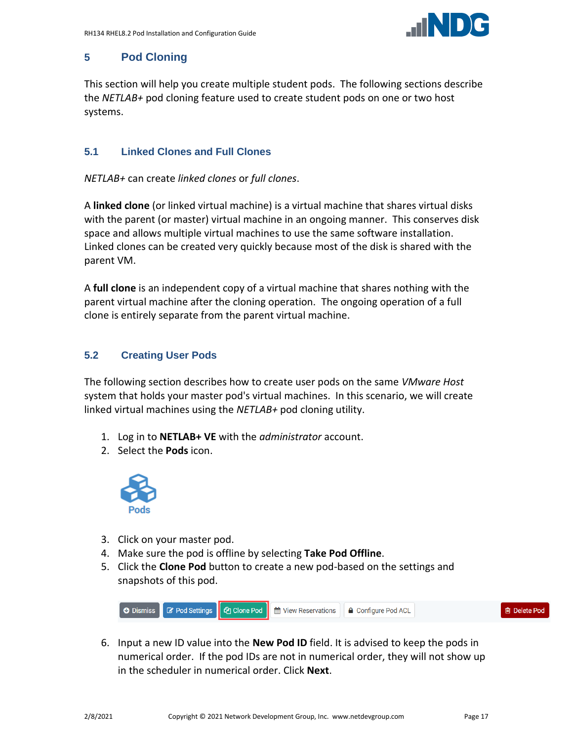

# <span id="page-16-0"></span>**5 Pod Cloning**

This section will help you create multiple student pods. The following sections describe the *NETLAB+* pod cloning feature used to create student pods on one or two host systems.

# <span id="page-16-1"></span>**5.1 Linked Clones and Full Clones**

*NETLAB+* can create *linked clones* or *full clones*.

A **linked clone** (or linked virtual machine) is a virtual machine that shares virtual disks with the parent (or master) virtual machine in an ongoing manner. This conserves disk space and allows multiple virtual machines to use the same software installation. Linked clones can be created very quickly because most of the disk is shared with the parent VM.

A **full clone** is an independent copy of a virtual machine that shares nothing with the parent virtual machine after the cloning operation. The ongoing operation of a full clone is entirely separate from the parent virtual machine.

# <span id="page-16-2"></span>**5.2 Creating User Pods**

The following section describes how to create user pods on the same *VMware Host* system that holds your master pod's virtual machines. In this scenario, we will create linked virtual machines using the *NETLAB+* pod cloning utility.

- 1. Log in to **NETLAB+ VE** with the *administrator* account.
- 2. Select the **Pods** icon.



- 3. Click on your master pod.
- 4. Make sure the pod is offline by selecting **Take Pod Offline**.
- 5. Click the **Clone Pod** button to create a new pod-based on the settings and snapshots of this pod.



6. Input a new ID value into the **New Pod ID** field. It is advised to keep the pods in numerical order. If the pod IDs are not in numerical order, they will not show up in the scheduler in numerical order. Click **Next**.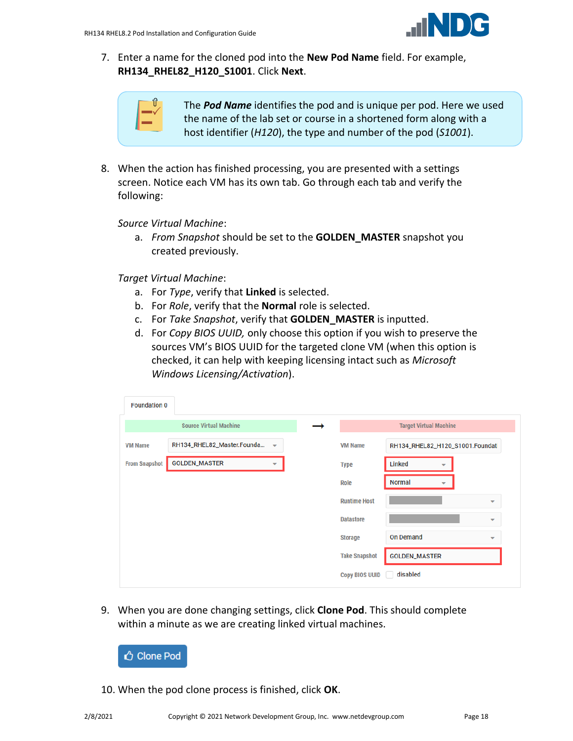

7. Enter a name for the cloned pod into the **New Pod Name** field. For example, **RH134\_RHEL82\_H120\_S1001**. Click **Next**.



The *Pod Name* identifies the pod and is unique per pod. Here we used the name of the lab set or course in a shortened form along with a host identifier (*H120*), the type and number of the pod (*S1001*).

8. When the action has finished processing, you are presented with a settings screen. Notice each VM has its own tab. Go through each tab and verify the following:

*Source Virtual Machine*:

a. *From Snapshot* should be set to the **GOLDEN\_MASTER** snapshot you created previously.

*Target Virtual Machine*:

- a. For *Type*, verify that **Linked** is selected.
- b. For *Role*, verify that the **Normal** role is selected.
- c. For *Take Snapshot*, verify that **GOLDEN\_MASTER** is inputted.
- d. For *Copy BIOS UUID,* only choose this option if you wish to preserve the sources VM's BIOS UUID for the targeted clone VM (when this option is checked, it can help with keeping licensing intact such as *Microsoft Windows Licensing/Activation*).

| <b>Foundation 0</b>  |                               |                          |                       |                                           |                          |
|----------------------|-------------------------------|--------------------------|-----------------------|-------------------------------------------|--------------------------|
|                      | <b>Source Virtual Machine</b> |                          |                       | <b>Target Virtual Machine</b>             |                          |
| <b>VM Name</b>       | RH134_RHEL82_Master.Founda ~  |                          | <b>VM Name</b>        | RH134_RHEL82_H120_S1001.Foundat           |                          |
| <b>From Snapshot</b> | <b>GOLDEN_MASTER</b>          | $\overline{\phantom{a}}$ | <b>Type</b>           | Linked<br>▼                               |                          |
|                      |                               |                          | <b>Role</b>           | <b>Normal</b><br>$\overline{\phantom{a}}$ |                          |
|                      |                               |                          | <b>Runtime Host</b>   |                                           | ▼                        |
|                      |                               |                          | <b>Datastore</b>      |                                           | ▼                        |
|                      |                               |                          | <b>Storage</b>        | <b>On Demand</b>                          | $\overline{\phantom{a}}$ |
|                      |                               |                          | <b>Take Snapshot</b>  | <b>GOLDEN_MASTER</b>                      |                          |
|                      |                               |                          | <b>Copy BIOS UUID</b> | disabled                                  |                          |

9. When you are done changing settings, click **Clone Pod**. This should complete within a minute as we are creating linked virtual machines.



10. When the pod clone process is finished, click **OK**.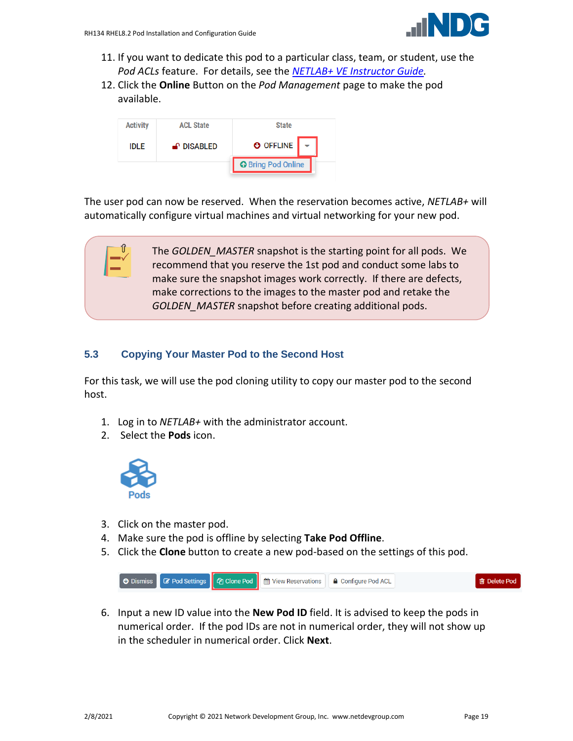

- 11. If you want to dedicate this pod to a particular class, team, or student, use the *Pod ACLs* feature. For details, see the *[NETLAB+ VE Instructor Guide.](http://www.netdevgroup.com/support/documentation/netlabve/netlabve_instructor_guide.pdf#nameddest=manage_pod_acls)*
- 12. Click the **Online** Button on the *Pod Management* page to make the pod available.



The user pod can now be reserved. When the reservation becomes active, *NETLAB+* will automatically configure virtual machines and virtual networking for your new pod.

> The *GOLDEN\_MASTER* snapshot is the starting point for all pods. We recommend that you reserve the 1st pod and conduct some labs to make sure the snapshot images work correctly. If there are defects, make corrections to the images to the master pod and retake the *GOLDEN\_MASTER* snapshot before creating additional pods.

### <span id="page-18-0"></span>**5.3 Copying Your Master Pod to the Second Host**

For this task, we will use the pod cloning utility to copy our master pod to the second host.

- 1. Log in to *NETLAB+* with the administrator account.
- 2. Select the **Pods** icon.



- 3. Click on the master pod.
- 4. Make sure the pod is offline by selecting **Take Pod Offline**.
- 5. Click the **Clone** button to create a new pod-based on the settings of this pod.



6. Input a new ID value into the **New Pod ID** field. It is advised to keep the pods in numerical order. If the pod IDs are not in numerical order, they will not show up in the scheduler in numerical order. Click **Next**.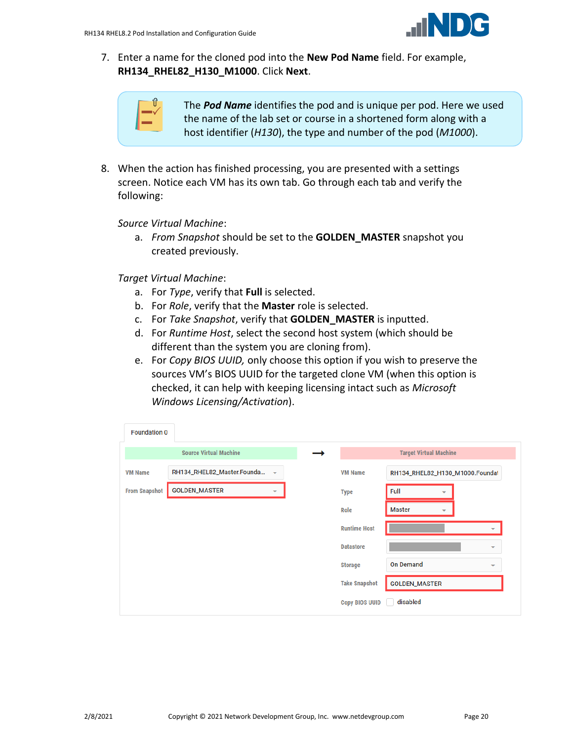

7. Enter a name for the cloned pod into the **New Pod Name** field. For example, **RH134\_RHEL82\_H130\_M1000**. Click **Next**.



The *Pod Name* identifies the pod and is unique per pod. Here we used the name of the lab set or course in a shortened form along with a host identifier (*H130*), the type and number of the pod (*M1000*).

8. When the action has finished processing, you are presented with a settings screen. Notice each VM has its own tab. Go through each tab and verify the following:

*Source Virtual Machine*:

a. *From Snapshot* should be set to the **GOLDEN\_MASTER** snapshot you created previously.

*Target Virtual Machine*:

- a. For *Type*, verify that **Full** is selected.
- b. For *Role*, verify that the **Master** role is selected.
- c. For *Take Snapshot*, verify that **GOLDEN\_MASTER** is inputted.
- d. For *Runtime Host*, select the second host system (which should be different than the system you are cloning from).
- e. For *Copy BIOS UUID,* only choose this option if you wish to preserve the sources VM's BIOS UUID for the targeted clone VM (when this option is checked, it can help with keeping licensing intact such as *Microsoft Windows Licensing/Activation*).

| <b>Foundation 0</b>  |                               |                          |                       |                                 |   |                          |
|----------------------|-------------------------------|--------------------------|-----------------------|---------------------------------|---|--------------------------|
|                      | <b>Source Virtual Machine</b> |                          |                       | <b>Target Virtual Machine</b>   |   |                          |
| <b>VM Name</b>       | RH134_RHEL82_Master.Founda    | $\mathbf{v}$             | <b>VM Name</b>        | RH134_RHEL82_H130_M1000.Foundat |   |                          |
| <b>From Snapshot</b> | <b>GOLDEN_MASTER</b>          | $\overline{\phantom{a}}$ | <b>Type</b>           | Full                            | ▼ |                          |
|                      |                               |                          | Role                  | <b>Master</b>                   | ▼ |                          |
|                      |                               |                          | <b>Runtime Host</b>   |                                 |   | ▼                        |
|                      |                               |                          | <b>Datastore</b>      |                                 |   | $\overline{\phantom{a}}$ |
|                      |                               |                          | <b>Storage</b>        | <b>On Demand</b>                |   | $\overline{\phantom{a}}$ |
|                      |                               |                          | <b>Take Snapshot</b>  | <b>GOLDEN_MASTER</b>            |   |                          |
|                      |                               |                          | <b>Copy BIOS UUID</b> | disabled                        |   |                          |